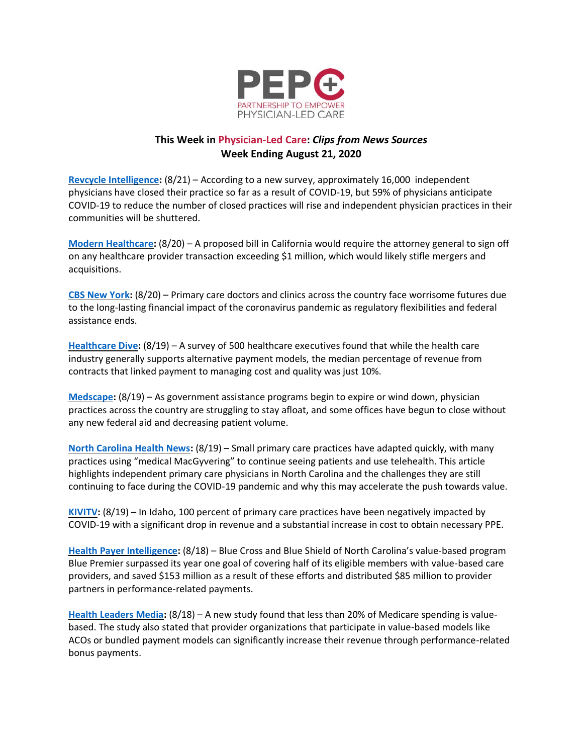

## **This Week in Physician-Led Care:** *Clips from News Sources* **Week Ending August 21, 2020**

**[Revcycle Intelligence:](https://revcycleintelligence.com/news/could-covid-19-spell-the-end-of-independent-physician-practices)** (8/21) – According to a new survey, approximately 16,000 independent physicians have closed their practice so far as a result of COVID-19, but 59% of physicians anticipate COVID-19 to reduce the number of closed practices will rise and independent physician practices in their communities will be shuttered.

**[Modern Healthcare:](https://www.modernhealthcare.com/politics-policy/calif-bill-could-stifle-healthcare-ma)** (8/20) – A proposed bill in California would require the attorney general to sign off on any healthcare provider transaction exceeding \$1 million, which would likely stifle mergers and acquisitions.

**[CBS New York:](https://newyork.cbslocal.com/2020/08/20/coronavirus-covid-19-primary-care-physicians-health-clinics-clifford-marks/)** (8/20) – Primary care doctors and clinics across the country face worrisome futures due to the long-lasting financial impact of the coronavirus pandemic as regulatory flexibilities and federal assistance ends.

**[Healthcare Dive:](https://www.healthcaredive.com/news/threat-of-financial-loss-main-barrier-to-value-based-model-adoption-exec-p/583800/)** (8/19) – A survey of 500 healthcare executives found that while the health care industry generally supports alternative payment models, the median percentage of revenue from contracts that linked payment to managing cost and quality was just 10%.

**[Medscape:](https://www.medscape.com/viewarticle/935938)** (8/19) – As government assistance programs begin to expire or wind down, physician practices across the country are struggling to stay afloat, and some offices have begun to close without any new federal aid and decreasing patient volume.

**[North Carolina Health News:](https://www.northcarolinahealthnews.org/2020/08/19/will-covid-19-help-move-primary-care-physicians-away-from-the-fee-for-service-model/)** (8/19) – Small primary care practices have adapted quickly, with many practices using "medical MacGyvering" to continue seeing patients and use telehealth. This article highlights independent primary care physicians in North Carolina and the challenges they are still continuing to face during the COVID-19 pandemic and why this may accelerate the push towards value.

**[KIVITV:](https://www.kivitv.com/news/covid-19s-impact-on-primary-care-and-outpatient-clinics)** (8/19) – In Idaho, 100 percent of primary care practices have been negatively impacted by COVID-19 with a significant drop in revenue and a substantial increase in cost to obtain necessary PPE.

**[Health Payer Intelligence:](https://healthpayerintelligence.com/news/payer-value-based-care-program-ups-savings-provider-participation)** (8/18) – Blue Cross and Blue Shield of North Carolina's value-based program Blue Premier surpassed its year one goal of covering half of its eligible members with value-based care providers, and saved \$153 million as a result of these efforts and distributed \$85 million to provider partners in performance-related payments.

**[Health Leaders Media:](https://www.healthleadersmedia.com/finance/less-20-medicare-spending-value-based)** (8/18) – A new study found that less than 20% of Medicare spending is valuebased. The study also stated that provider organizations that participate in value-based models like ACOs or bundled payment models can significantly increase their revenue through performance-related bonus payments.